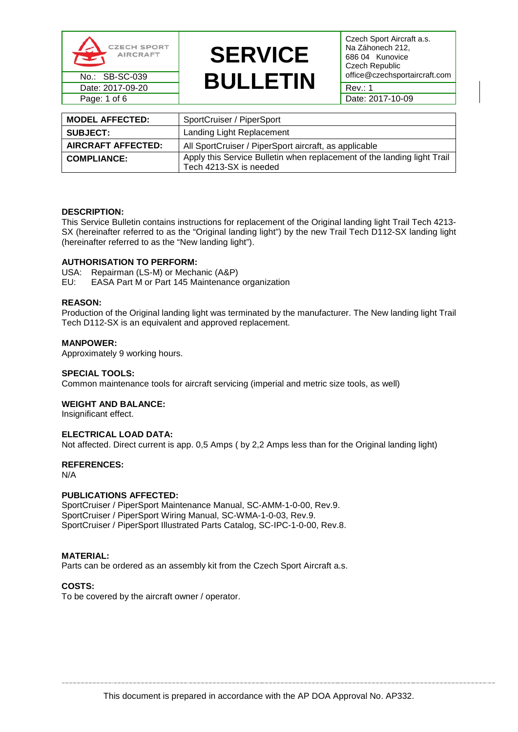

# **SERVICE**  No.: SB-SC-039 **BULLETIN** office@czechsportaircraft.com Date: 2017-09-20 **BUULLLIN** Rev.: 1

Czech Sport Aircraft a.s. Na Záhonech 212, 686 04 Kunovice Czech Republic<br>office@czechsportaircraft.com

| <b>MODEL AFFECTED:</b>    | SportCruiser / PiperSport                                                                         |
|---------------------------|---------------------------------------------------------------------------------------------------|
| <b>SUBJECT:</b>           | Landing Light Replacement                                                                         |
| <b>AIRCRAFT AFFECTED:</b> | All SportCruiser / PiperSport aircraft, as applicable                                             |
| <b>COMPLIANCE:</b>        | Apply this Service Bulletin when replacement of the landing light Trail<br>Tech 4213-SX is needed |

#### **DESCRIPTION:**

This Service Bulletin contains instructions for replacement of the Original landing light Trail Tech 4213- SX (hereinafter referred to as the "Original landing light") by the new Trail Tech D112-SX landing light (hereinafter referred to as the "New landing light").

#### **AUTHORISATION TO PERFORM:**

USA: Repairman (LS-M) or Mechanic (A&P)

EU: EASA Part M or Part 145 Maintenance organization

#### **REASON:**

Production of the Original landing light was terminated by the manufacturer. The New landing light Trail Tech D112-SX is an equivalent and approved replacement.

#### **MANPOWER:**

Approximately 9 working hours.

#### **SPECIAL TOOLS:**

Common maintenance tools for aircraft servicing (imperial and metric size tools, as well)

#### **WEIGHT AND BALANCE:**

Insignificant effect.

### **ELECTRICAL LOAD DATA:**

Not affected. Direct current is app. 0,5 Amps ( by 2,2 Amps less than for the Original landing light)

#### **REFERENCES:**

N/A

#### **PUBLICATIONS AFFECTED:**

SportCruiser / PiperSport Maintenance Manual, SC-AMM-1-0-00, Rev.9. SportCruiser / PiperSport Wiring Manual, SC-WMA-1-0-03, Rev.9. SportCruiser / PiperSport Illustrated Parts Catalog, SC-IPC-1-0-00, Rev.8.

#### **MATERIAL:**

Parts can be ordered as an assembly kit from the Czech Sport Aircraft a.s.

#### **COSTS:**

To be covered by the aircraft owner / operator.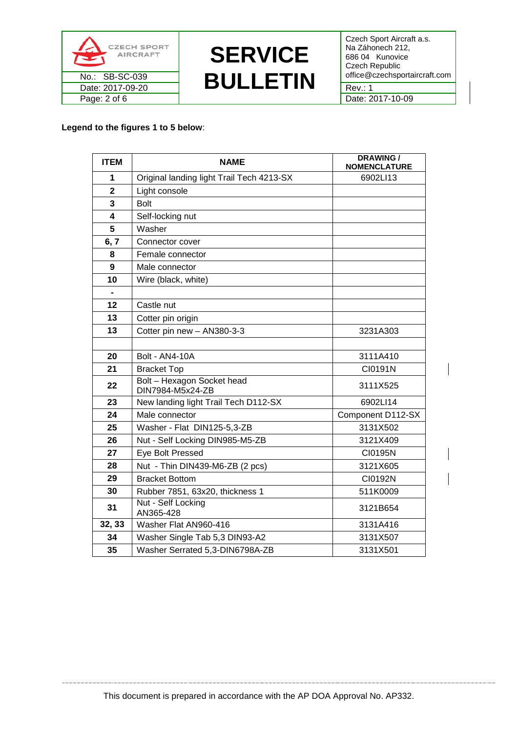



Czech Sport Aircraft a.s. Na Záhonech 212, 686 04 Kunovice Czech Republic

## **Legend to the figures 1 to 5 below**:

| <b>ITEM</b>             | <b>NAME</b>                                    | <b>DRAWING /</b><br><b>NOMENCLATURE</b> |
|-------------------------|------------------------------------------------|-----------------------------------------|
| 1                       | Original landing light Trail Tech 4213-SX      | 6902LI13                                |
| $\mathbf{2}$            | Light console                                  |                                         |
| 3                       | <b>Bolt</b>                                    |                                         |
| $\overline{\mathbf{4}}$ | Self-locking nut                               |                                         |
| 5                       | Washer                                         |                                         |
| 6, 7                    | Connector cover                                |                                         |
| 8                       | Female connector                               |                                         |
| $\boldsymbol{9}$        | Male connector                                 |                                         |
| 10                      | Wire (black, white)                            |                                         |
|                         |                                                |                                         |
| 12                      | Castle nut                                     |                                         |
| 13                      | Cotter pin origin                              |                                         |
| 13                      | Cotter pin new - AN380-3-3                     | 3231A303                                |
|                         |                                                |                                         |
| 20                      | Bolt - AN4-10A                                 | 3111A410                                |
| 21                      | <b>Bracket Top</b>                             | CI0191N                                 |
| 22                      | Bolt - Hexagon Socket head<br>DIN7984-M5x24-ZB | 3111X525                                |
| 23                      | New landing light Trail Tech D112-SX           | 6902LI14                                |
| 24                      | Male connector                                 | Component D112-SX                       |
| 25                      | Washer - Flat DIN125-5,3-ZB                    | 3131X502                                |
| 26                      | Nut - Self Locking DIN985-M5-ZB                | 3121X409                                |
| 27                      | Eye Bolt Pressed                               | CI0195N                                 |
| 28                      | Nut - Thin DIN439-M6-ZB (2 pcs)                | 3121X605                                |
| 29                      | <b>Bracket Bottom</b>                          | CI0192N                                 |
| 30                      | Rubber 7851, 63x20, thickness 1                | 511K0009                                |
| 31                      | Nut - Self Locking<br>AN365-428                | 3121B654                                |
| 32, 33                  | Washer Flat AN960-416                          | 3131A416                                |
| 34                      | Washer Single Tab 5,3 DIN93-A2                 | 3131X507                                |
| 35                      | Washer Serrated 5,3-DIN6798A-ZB                | 3131X501                                |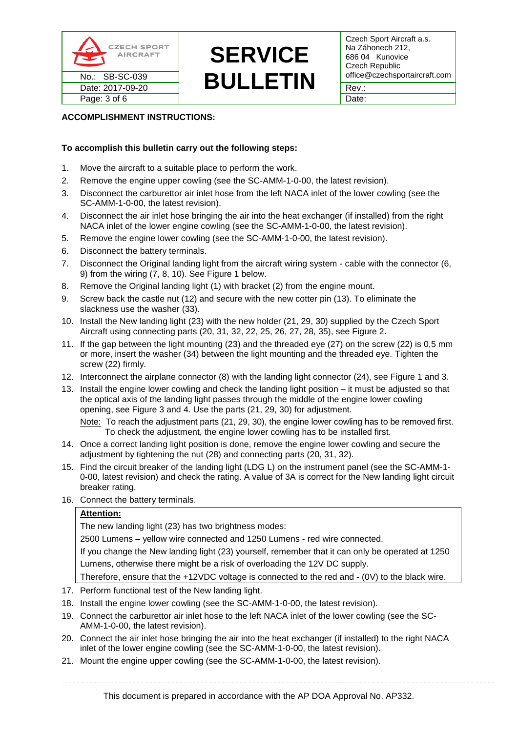

# **SERVICE**  No.: SB-SC-039 **BULLETIN** office@czechsportaircraft.com Date: 2017-09-20 **B BULLLIN** Rev.:

Czech Sport Aircraft a.s. Na Záhonech 212, 686 04 Kunovice Czech Republic<br>office@czechsportaircraft.com

# **ACCOMPLISHMENT INSTRUCTIONS:**

# **To accomplish this bulletin carry out the following steps:**

- 1. Move the aircraft to a suitable place to perform the work.
- 2. Remove the engine upper cowling (see the SC-AMM-1-0-00, the latest revision).
- 3. Disconnect the carburettor air inlet hose from the left NACA inlet of the lower cowling (see the SC-AMM-1-0-00, the latest revision).
- 4. Disconnect the air inlet hose bringing the air into the heat exchanger (if installed) from the right NACA inlet of the lower engine cowling (see the SC-AMM-1-0-00, the latest revision).
- 5. Remove the engine lower cowling (see the SC-AMM-1-0-00, the latest revision).
- 6. Disconnect the battery terminals.
- 7. Disconnect the Original landing light from the aircraft wiring system cable with the connector (6, 9) from the wiring (7, 8, 10). See Figure 1 below.
- 8. Remove the Original landing light (1) with bracket (2) from the engine mount.
- 9. Screw back the castle nut (12) and secure with the new cotter pin (13). To eliminate the slackness use the washer (33).
- 10. Install the New landing light (23) with the new holder (21, 29, 30) supplied by the Czech Sport Aircraft using connecting parts (20, 31, 32, 22, 25, 26, 27, 28, 35), see Figure 2.
- 11. If the gap between the light mounting (23) and the threaded eye (27) on the screw (22) is 0,5 mm or more, insert the washer (34) between the light mounting and the threaded eye. Tighten the screw (22) firmly.
- 12. Interconnect the airplane connector (8) with the landing light connector (24), see Figure 1 and 3.
- 13. Install the engine lower cowling and check the landing light position it must be adjusted so that the optical axis of the landing light passes through the middle of the engine lower cowling opening, see Figure 3 and 4. Use the parts (21, 29, 30) for adjustment.

Note: To reach the adjustment parts (21, 29, 30), the engine lower cowling has to be removed first. To check the adjustment, the engine lower cowling has to be installed first.

- 14. Once a correct landing light position is done, remove the engine lower cowling and secure the adjustment by tightening the nut (28) and connecting parts (20, 31, 32).
- 15. Find the circuit breaker of the landing light (LDG L) on the instrument panel (see the SC-AMM-1- 0-00, latest revision) and check the rating. A value of 3A is correct for the New landing light circuit breaker rating.
- 16. Connect the battery terminals.

### **Attention:**

The new landing light (23) has two brightness modes:

2500 Lumens – yellow wire connected and 1250 Lumens - red wire connected.

If you change the New landing light (23) yourself, remember that it can only be operated at 1250 Lumens, otherwise there might be a risk of overloading the 12V DC supply.

Therefore, ensure that the +12VDC voltage is connected to the red and - (0V) to the black wire.

- 17. Perform functional test of the New landing light.
- 18. Install the engine lower cowling (see the SC-AMM-1-0-00, the latest revision).
- 19. Connect the carburettor air inlet hose to the left NACA inlet of the lower cowling (see the SC-AMM-1-0-00, the latest revision).
- 20. Connect the air inlet hose bringing the air into the heat exchanger (if installed) to the right NACA inlet of the lower engine cowling (see the SC-AMM-1-0-00, the latest revision).
- 21. Mount the engine upper cowling (see the SC-AMM-1-0-00, the latest revision).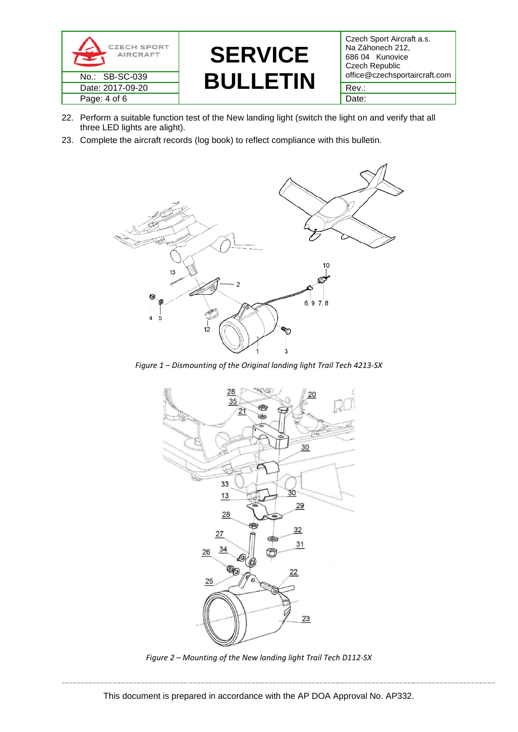

# **SERVICE**  No.: SB-SC-039 **BULLETIN** office@czechsportaircraft.com Date: 2017-09-20 **DULLLIN** Rev.:

Czech Sport Aircraft a.s. Na Záhonech 212, 686 04 Kunovice Czech Republic<br>office@czechsportaircraft.com

- 22. Perform a suitable function test of the New landing light (switch the light on and verify that all three LED lights are alight).
- 23. Complete the aircraft records (log book) to reflect compliance with this bulletin.



*Figure 1 – Dismounting of the Original landing light Trail Tech 4213-SX*



*Figure 2 – Mounting of the New landing light Trail Tech D112-SX*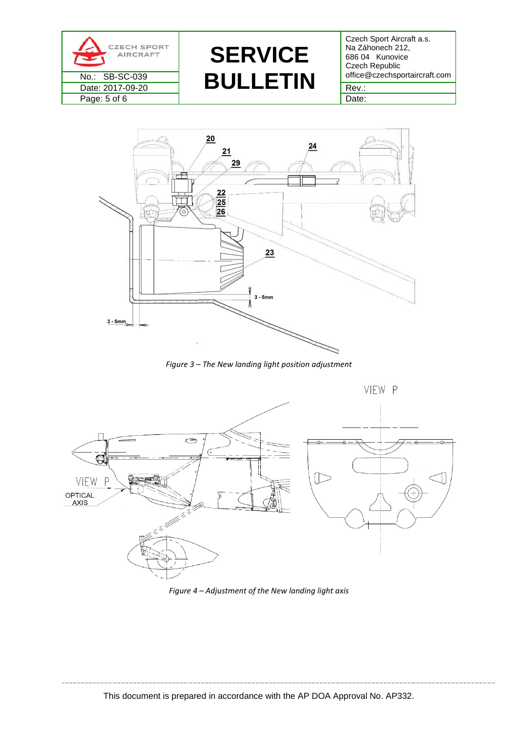

**SERVICE**  No.: SB-SC-039 **BULLETIN** office@czechsportaircraft.com Date: 2017-09-20  $\blacksquare$   $\blacksquare$   $\blacksquare$   $\blacksquare$   $\blacksquare$   $\blacksquare$   $\blacksquare$   $\blacksquare$   $\blacksquare$   $\blacksquare$   $\blacksquare$   $\blacksquare$   $\blacksquare$   $\blacksquare$   $\blacksquare$   $\blacksquare$   $\blacksquare$ 

Czech Sport Aircraft a.s. Na Záhonech 212, 686 04 Kunovice Czech Republic



*Figure 3 – The New landing light position adjustment*



*Figure 4 – Adjustment of the New landing light axis*